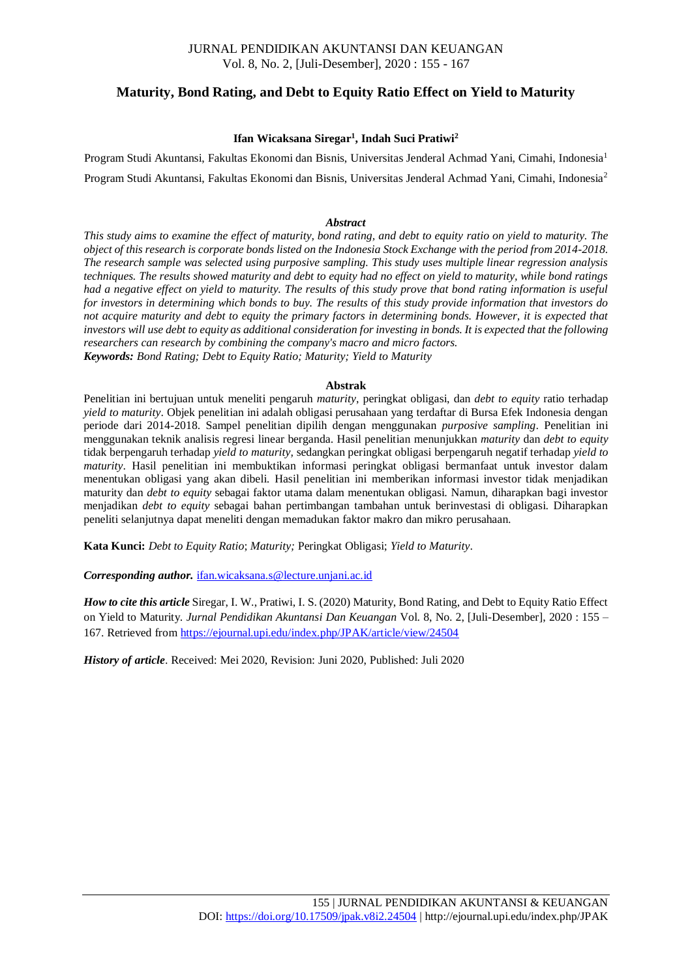#### JURNAL PENDIDIKAN AKUNTANSI DAN KEUANGAN Vol. 8, No. 2, [Juli-Desember], 2020 : 155 - 167

### **Maturity, Bond Rating, and Debt to Equity Ratio Effect on Yield to Maturity**

#### **Ifan Wicaksana Siregar<sup>1</sup> , Indah Suci Pratiwi<sup>2</sup>**

Program Studi Akuntansi, Fakultas Ekonomi dan Bisnis, Universitas Jenderal Achmad Yani, Cimahi, Indonesia<sup>1</sup> Program Studi Akuntansi, Fakultas Ekonomi dan Bisnis, Universitas Jenderal Achmad Yani, Cimahi, Indonesia<sup>2</sup>

#### *Abstract*

*This study aims to examine the effect of maturity, bond rating, and debt to equity ratio on yield to maturity. The object of this research is corporate bonds listed on the Indonesia Stock Exchange with the period from 2014-2018. The research sample was selected using purposive sampling. This study uses multiple linear regression analysis techniques. The results showed maturity and debt to equity had no effect on yield to maturity, while bond ratings had a negative effect on yield to maturity. The results of this study prove that bond rating information is useful for investors in determining which bonds to buy. The results of this study provide information that investors do not acquire maturity and debt to equity the primary factors in determining bonds. However, it is expected that investors will use debt to equity as additional consideration for investing in bonds. It is expected that the following researchers can research by combining the company's macro and micro factors. Keywords: Bond Rating; Debt to Equity Ratio; Maturity; Yield to Maturity*

#### **Abstrak**

Penelitian ini bertujuan untuk meneliti pengaruh *maturity*, peringkat obligasi, dan *debt to equity* ratio terhadap *yield to maturity*. Objek penelitian ini adalah obligasi perusahaan yang terdaftar di Bursa Efek Indonesia dengan periode dari 2014-2018. Sampel penelitian dipilih dengan menggunakan *purposive sampling*. Penelitian ini menggunakan teknik analisis regresi linear berganda. Hasil penelitian menunjukkan *maturity* dan *debt to equity* tidak berpengaruh terhadap *yield to maturity,* sedangkan peringkat obligasi berpengaruh negatif terhadap *yield to maturity*. Hasil penelitian ini membuktikan informasi peringkat obligasi bermanfaat untuk investor dalam menentukan obligasi yang akan dibeli. Hasil penelitian ini memberikan informasi investor tidak menjadikan maturity dan *debt to equity* sebagai faktor utama dalam menentukan obligasi. Namun, diharapkan bagi investor menjadikan *debt to equity* sebagai bahan pertimbangan tambahan untuk berinvestasi di obligasi. Diharapkan peneliti selanjutnya dapat meneliti dengan memadukan faktor makro dan mikro perusahaan.

**Kata Kunci:** *Debt to Equity Ratio*; *Maturity;* Peringkat Obligasi; *Yield to Maturity*.

*Corresponding author.* [ifan.wicaksana.s@lecture.unjani.ac.id](mailto:ifan.wicaksana.s@lecture.unjani.ac.id)

*How to cite this article* Siregar, I. W., Pratiwi, I. S. (2020) Maturity, Bond Rating, and Debt to Equity Ratio Effect on Yield to Maturity. *Jurnal Pendidikan Akuntansi Dan Keuangan* Vol. 8, No. 2, [Juli-Desember], 2020 : 155 – 167. Retrieved from<https://ejournal.upi.edu/index.php/JPAK/article/view/24504>

*History of article*. Received: Mei 2020, Revision: Juni 2020, Published: Juli 2020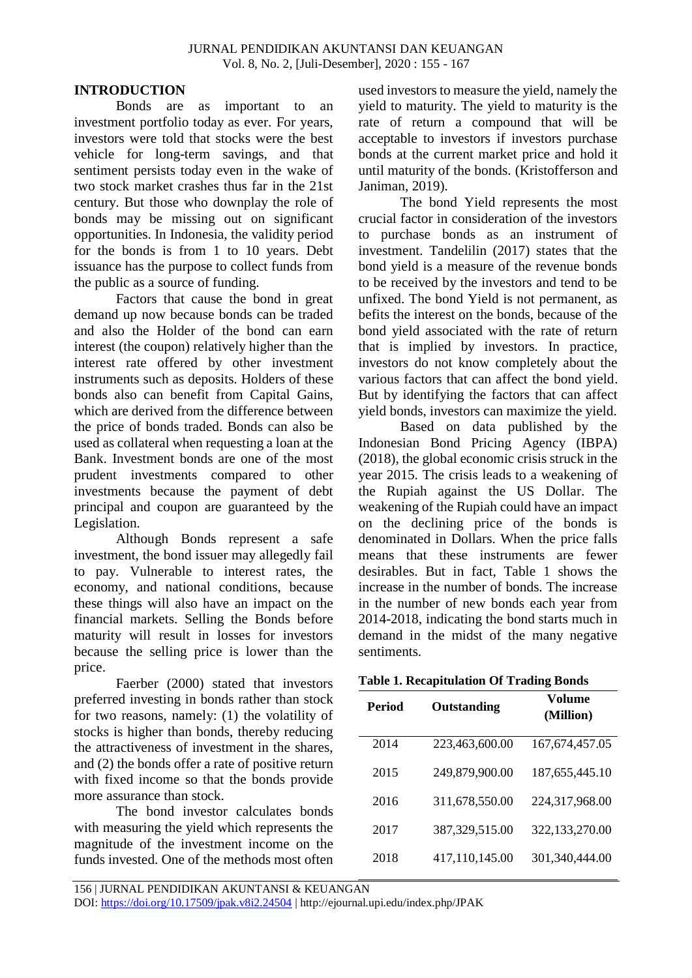# **INTRODUCTION**

Bonds are as important to an investment portfolio today as ever. For years, investors were told that stocks were the best vehicle for long-term savings, and that sentiment persists today even in the wake of two stock market crashes thus far in the 21st century. But those who downplay the role of bonds may be missing out on significant opportunities. In Indonesia, the validity period for the bonds is from 1 to 10 years. Debt issuance has the purpose to collect funds from the public as a source of funding.

Factors that cause the bond in great demand up now because bonds can be traded and also the Holder of the bond can earn interest (the coupon) relatively higher than the interest rate offered by other investment instruments such as deposits. Holders of these bonds also can benefit from Capital Gains, which are derived from the difference between the price of bonds traded. Bonds can also be used as collateral when requesting a loan at the Bank. Investment bonds are one of the most prudent investments compared to other investments because the payment of debt principal and coupon are guaranteed by the Legislation.

Although Bonds represent a safe investment, the bond issuer may allegedly fail to pay. Vulnerable to interest rates, the economy, and national conditions, because these things will also have an impact on the financial markets. Selling the Bonds before maturity will result in losses for investors because the selling price is lower than the price.

Faerber (2000) stated that investors preferred investing in bonds rather than stock for two reasons, namely: (1) the volatility of stocks is higher than bonds, thereby reducing the attractiveness of investment in the shares, and (2) the bonds offer a rate of positive return with fixed income so that the bonds provide more assurance than stock.

The bond investor calculates bonds with measuring the yield which represents the magnitude of the investment income on the funds invested. One of the methods most often used investors to measure the yield, namely the yield to maturity. The yield to maturity is the rate of return a compound that will be acceptable to investors if investors purchase bonds at the current market price and hold it until maturity of the bonds. (Kristofferson and Janiman, 2019).

The bond Yield represents the most crucial factor in consideration of the investors to purchase bonds as an instrument of investment. Tandelilin (2017) states that the bond yield is a measure of the revenue bonds to be received by the investors and tend to be unfixed. The bond Yield is not permanent, as befits the interest on the bonds, because of the bond yield associated with the rate of return that is implied by investors. In practice, investors do not know completely about the various factors that can affect the bond yield. But by identifying the factors that can affect yield bonds, investors can maximize the yield.

Based on data published by the Indonesian Bond Pricing Agency (IBPA) (2018), the global economic crisis struck in the year 2015. The crisis leads to a weakening of the Rupiah against the US Dollar. The weakening of the Rupiah could have an impact on the declining price of the bonds is denominated in Dollars. When the price falls means that these instruments are fewer desirables. But in fact, Table 1 shows the increase in the number of bonds. The increase in the number of new bonds each year from 2014-2018, indicating the bond starts much in demand in the midst of the many negative sentiments.

| <b>Table 1. Recapitulation Of Trading Bonds</b> |  |
|-------------------------------------------------|--|
|-------------------------------------------------|--|

| Period | Outstanding    | Volume<br>(Million) |
|--------|----------------|---------------------|
| 2014   | 223,463,600.00 | 167, 674, 457. 05   |
| 2015   | 249,879,900.00 | 187,655,445.10      |
| 2016   | 311,678,550.00 | 224,317,968.00      |
| 2017   | 387,329,515.00 | 322,133,270.00      |
| 2018   | 417,110,145.00 | 301,340,444.00      |

156 | JURNAL PENDIDIKAN AKUNTANSI & KEUANGAN

DOI:<https://doi.org/10.17509/jpak.v8i2.24504> | http://ejournal.upi.edu/index.php/JPAK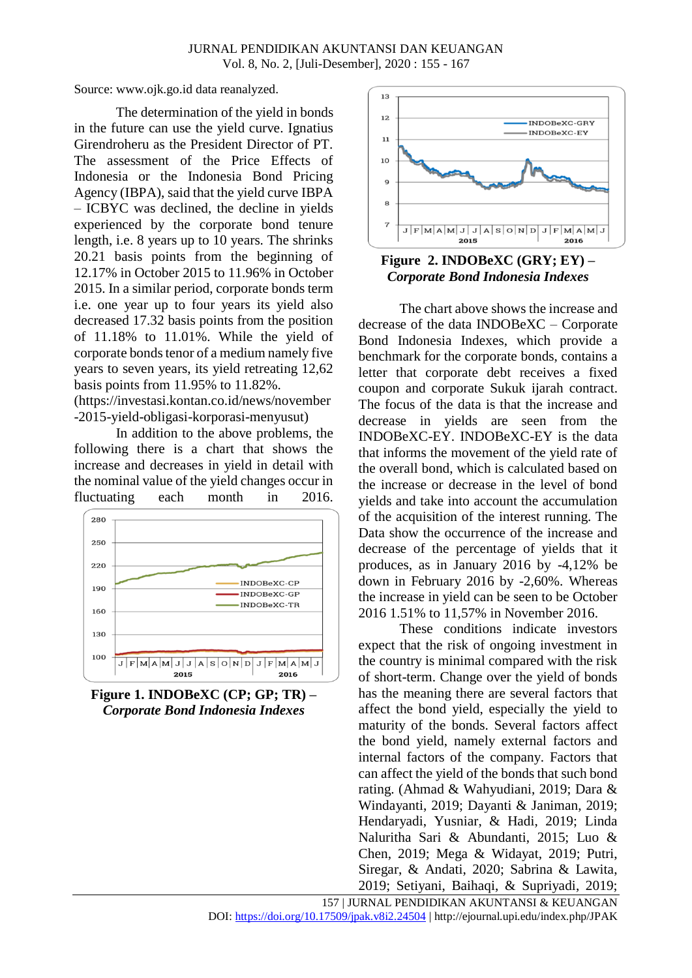Source: www.ojk.go.id data reanalyzed.

The determination of the yield in bonds in the future can use the yield curve. Ignatius Girendroheru as the President Director of PT. The assessment of the Price Effects of Indonesia or the Indonesia Bond Pricing Agency (IBPA), said that the yield curve IBPA – ICBYC was declined, the decline in yields experienced by the corporate bond tenure length, i.e. 8 years up to 10 years. The shrinks 20.21 basis points from the beginning of 12.17% in October 2015 to 11.96% in October 2015. In a similar period, corporate bonds term i.e. one year up to four years its yield also decreased 17.32 basis points from the position of 11.18% to 11.01%. While the yield of corporate bonds tenor of a medium namely five years to seven years, its yield retreating 12,62 basis points from 11.95% to 11.82%. (https://investasi.kontan.co.id/news/november

-2015-yield-obligasi-korporasi-menyusut)

In addition to the above problems, the following there is a chart that shows the increase and decreases in yield in detail with the nominal value of the yield changes occur in fluctuating each month in 2016.







# **Figure 2. INDOBeXC (GRY; EY) –** *Corporate Bond Indonesia Indexes*

The chart above shows the increase and decrease of the data INDOBeXC – Corporate Bond Indonesia Indexes, which provide a benchmark for the corporate bonds, contains a letter that corporate debt receives a fixed coupon and corporate Sukuk ijarah contract. The focus of the data is that the increase and decrease in yields are seen from the INDOBeXC-EY. INDOBeXC-EY is the data that informs the movement of the yield rate of the overall bond, which is calculated based on the increase or decrease in the level of bond yields and take into account the accumulation of the acquisition of the interest running. The Data show the occurrence of the increase and decrease of the percentage of yields that it produces, as in January 2016 by -4,12% be down in February 2016 by -2,60%. Whereas the increase in yield can be seen to be October 2016 1.51% to 11,57% in November 2016.

These conditions indicate investors expect that the risk of ongoing investment in the country is minimal compared with the risk of short-term. Change over the yield of bonds has the meaning there are several factors that affect the bond yield, especially the yield to maturity of the bonds. Several factors affect the bond yield, namely external factors and internal factors of the company. Factors that can affect the yield of the bonds that such bond rating. (Ahmad & Wahyudiani, 2019; Dara & Windayanti, 2019; Dayanti & Janiman, 2019; Hendaryadi, Yusniar, & Hadi, 2019; Linda Naluritha Sari & Abundanti, 2015; Luo & Chen, 2019; Mega & Widayat, 2019; Putri, Siregar, & Andati, 2020; Sabrina & Lawita, 2019; Setiyani, Baihaqi, & Supriyadi, 2019;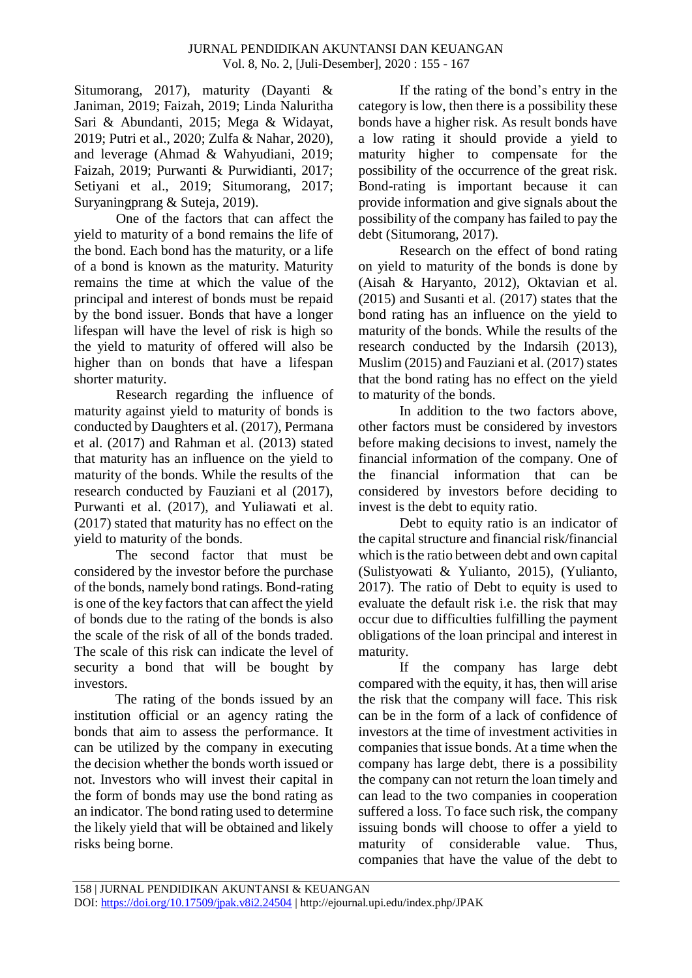Situmorang, 2017), maturity (Dayanti & Janiman, 2019; Faizah, 2019; Linda Naluritha Sari & Abundanti, 2015; Mega & Widayat, 2019; Putri et al., 2020; Zulfa & Nahar, 2020), and leverage (Ahmad & Wahyudiani, 2019; Faizah, 2019; Purwanti & Purwidianti, 2017; Setiyani et al., 2019; Situmorang, 2017; Suryaningprang & Suteja, 2019).

One of the factors that can affect the yield to maturity of a bond remains the life of the bond. Each bond has the maturity, or a life of a bond is known as the maturity. Maturity remains the time at which the value of the principal and interest of bonds must be repaid by the bond issuer. Bonds that have a longer lifespan will have the level of risk is high so the yield to maturity of offered will also be higher than on bonds that have a lifespan shorter maturity.

Research regarding the influence of maturity against yield to maturity of bonds is conducted by Daughters et al. (2017), Permana et al. (2017) and Rahman et al. (2013) stated that maturity has an influence on the yield to maturity of the bonds. While the results of the research conducted by Fauziani et al (2017), Purwanti et al. (2017), and Yuliawati et al. (2017) stated that maturity has no effect on the yield to maturity of the bonds.

The second factor that must be considered by the investor before the purchase of the bonds, namely bond ratings. Bond-rating is one of the key factors that can affect the yield of bonds due to the rating of the bonds is also the scale of the risk of all of the bonds traded. The scale of this risk can indicate the level of security a bond that will be bought by investors.

The rating of the bonds issued by an institution official or an agency rating the bonds that aim to assess the performance. It can be utilized by the company in executing the decision whether the bonds worth issued or not. Investors who will invest their capital in the form of bonds may use the bond rating as an indicator. The bond rating used to determine the likely yield that will be obtained and likely risks being borne.

If the rating of the bond's entry in the category is low, then there is a possibility these bonds have a higher risk. As result bonds have a low rating it should provide a yield to maturity higher to compensate for the possibility of the occurrence of the great risk. Bond-rating is important because it can provide information and give signals about the possibility of the company has failed to pay the debt (Situmorang, 2017).

Research on the effect of bond rating on yield to maturity of the bonds is done by (Aisah & Haryanto, 2012), Oktavian et al. (2015) and Susanti et al. (2017) states that the bond rating has an influence on the yield to maturity of the bonds. While the results of the research conducted by the Indarsih (2013), Muslim (2015) and Fauziani et al. (2017) states that the bond rating has no effect on the yield to maturity of the bonds.

In addition to the two factors above, other factors must be considered by investors before making decisions to invest, namely the financial information of the company. One of the financial information that can be considered by investors before deciding to invest is the debt to equity ratio.

Debt to equity ratio is an indicator of the capital structure and financial risk/financial which is the ratio between debt and own capital (Sulistyowati & Yulianto, 2015), (Yulianto, 2017). The ratio of Debt to equity is used to evaluate the default risk i.e. the risk that may occur due to difficulties fulfilling the payment obligations of the loan principal and interest in maturity.

If the company has large debt compared with the equity, it has, then will arise the risk that the company will face. This risk can be in the form of a lack of confidence of investors at the time of investment activities in companies that issue bonds. At a time when the company has large debt, there is a possibility the company can not return the loan timely and can lead to the two companies in cooperation suffered a loss. To face such risk, the company issuing bonds will choose to offer a yield to maturity of considerable value. Thus, companies that have the value of the debt to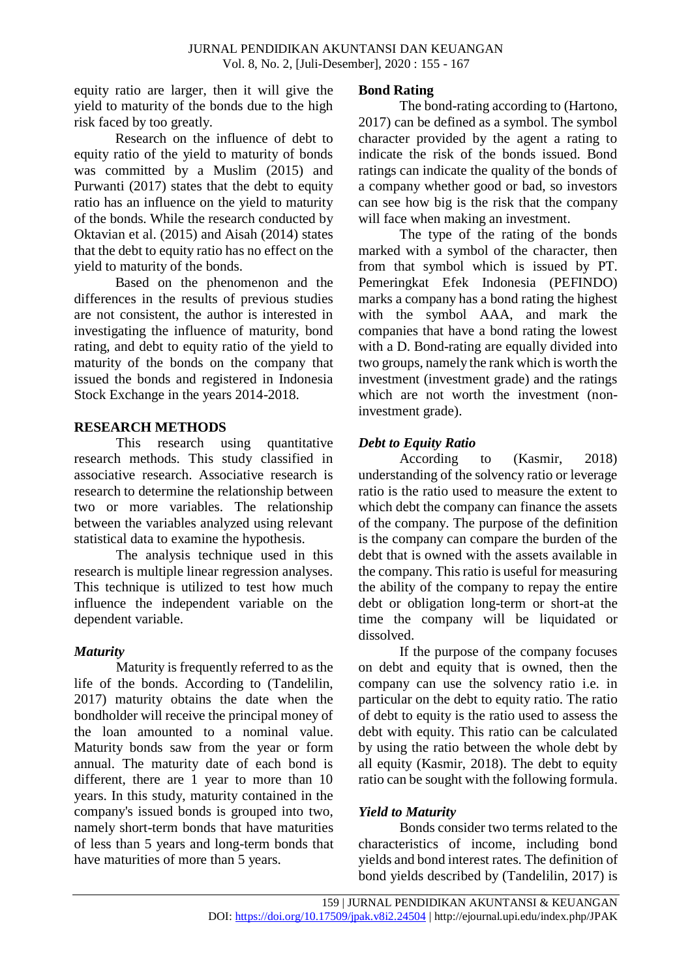equity ratio are larger, then it will give the yield to maturity of the bonds due to the high risk faced by too greatly.

Research on the influence of debt to equity ratio of the yield to maturity of bonds was committed by a Muslim (2015) and Purwanti (2017) states that the debt to equity ratio has an influence on the yield to maturity of the bonds. While the research conducted by Oktavian et al. (2015) and Aisah (2014) states that the debt to equity ratio has no effect on the yield to maturity of the bonds.

Based on the phenomenon and the differences in the results of previous studies are not consistent, the author is interested in investigating the influence of maturity, bond rating, and debt to equity ratio of the yield to maturity of the bonds on the company that issued the bonds and registered in Indonesia Stock Exchange in the years 2014-2018.

# **RESEARCH METHODS**

This research using quantitative research methods. This study classified in associative research. Associative research is research to determine the relationship between two or more variables. The relationship between the variables analyzed using relevant statistical data to examine the hypothesis.

The analysis technique used in this research is multiple linear regression analyses. This technique is utilized to test how much influence the independent variable on the dependent variable.

# *Maturity*

Maturity is frequently referred to as the life of the bonds. According to (Tandelilin, 2017) maturity obtains the date when the bondholder will receive the principal money of the loan amounted to a nominal value. Maturity bonds saw from the year or form annual. The maturity date of each bond is different, there are 1 year to more than 10 years. In this study, maturity contained in the company's issued bonds is grouped into two, namely short-term bonds that have maturities of less than 5 years and long-term bonds that have maturities of more than 5 years.

# **Bond Rating**

The bond-rating according to (Hartono, 2017) can be defined as a symbol. The symbol character provided by the agent a rating to indicate the risk of the bonds issued. Bond ratings can indicate the quality of the bonds of a company whether good or bad, so investors can see how big is the risk that the company will face when making an investment.

The type of the rating of the bonds marked with a symbol of the character, then from that symbol which is issued by PT. Pemeringkat Efek Indonesia (PEFINDO) marks a company has a bond rating the highest with the symbol AAA, and mark the companies that have a bond rating the lowest with a D. Bond-rating are equally divided into two groups, namely the rank which is worth the investment (investment grade) and the ratings which are not worth the investment (noninvestment grade).

# *Debt to Equity Ratio*

According to (Kasmir, 2018) understanding of the solvency ratio or leverage ratio is the ratio used to measure the extent to which debt the company can finance the assets of the company. The purpose of the definition is the company can compare the burden of the debt that is owned with the assets available in the company. This ratio is useful for measuring the ability of the company to repay the entire debt or obligation long-term or short-at the time the company will be liquidated or dissolved.

If the purpose of the company focuses on debt and equity that is owned, then the company can use the solvency ratio i.e. in particular on the debt to equity ratio. The ratio of debt to equity is the ratio used to assess the debt with equity. This ratio can be calculated by using the ratio between the whole debt by all equity (Kasmir, 2018). The debt to equity ratio can be sought with the following formula.

# *Yield to Maturity*

Bonds consider two terms related to the characteristics of income, including bond yields and bond interest rates. The definition of bond yields described by (Tandelilin, 2017) is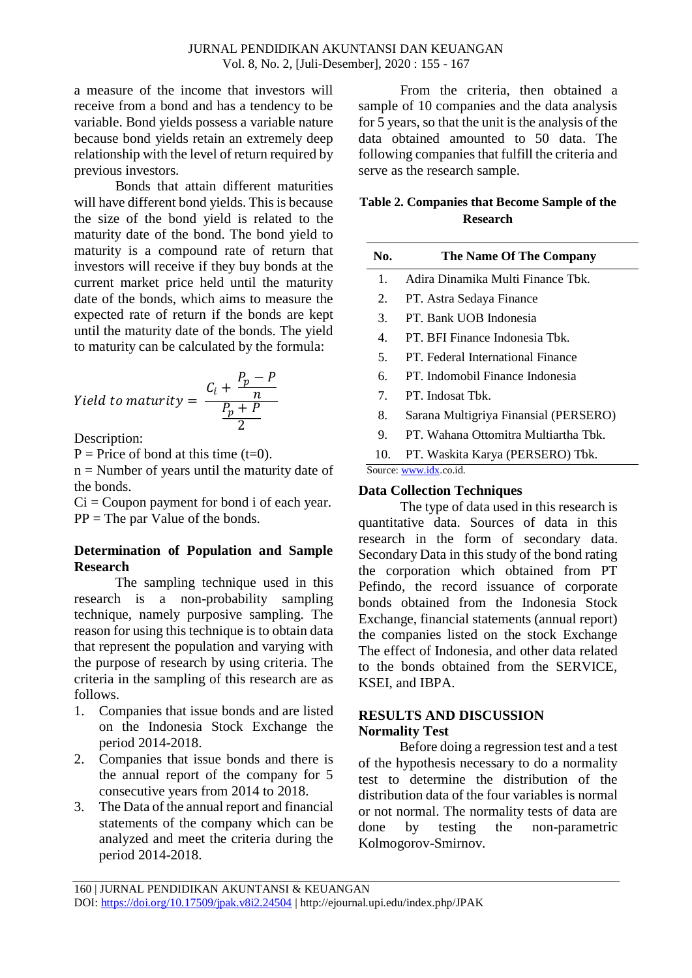a measure of the income that investors will receive from a bond and has a tendency to be variable. Bond yields possess a variable nature because bond yields retain an extremely deep relationship with the level of return required by previous investors.

Bonds that attain different maturities will have different bond yields. This is because the size of the bond yield is related to the maturity date of the bond. The bond yield to maturity is a compound rate of return that investors will receive if they buy bonds at the current market price held until the maturity date of the bonds, which aims to measure the expected rate of return if the bonds are kept until the maturity date of the bonds. The yield to maturity can be calculated by the formula:

$$
Yield\ to\ maturity = \frac{C_i + \frac{P_p - P}{n}}{\frac{P_p + P}{2}}
$$

Description:

 $P =$  Price of bond at this time (t=0).

 $n =$  Number of years until the maturity date of the bonds.

 $Ci = Coupon$  payment for bond i of each year.  $PP = The par Value of the bonds.$ 

## **Determination of Population and Sample Research**

The sampling technique used in this research is a non-probability sampling technique, namely purposive sampling. The reason for using this technique is to obtain data that represent the population and varying with the purpose of research by using criteria. The criteria in the sampling of this research are as follows.

- 1. Companies that issue bonds and are listed on the Indonesia Stock Exchange the period 2014-2018.
- 2. Companies that issue bonds and there is the annual report of the company for 5 consecutive years from 2014 to 2018.
- 3. The Data of the annual report and financial statements of the company which can be analyzed and meet the criteria during the period 2014-2018.

From the criteria, then obtained a sample of 10 companies and the data analysis for 5 years, so that the unit is the analysis of the data obtained amounted to 50 data. The following companies that fulfill the criteria and serve as the research sample.

# **Table 2. Companies that Become Sample of the Research**

| No.                             | <b>The Name Of The Company</b>        |
|---------------------------------|---------------------------------------|
| 1.                              | Adira Dinamika Multi Finance Tbk.     |
| 2.                              | PT. Astra Sedaya Finance              |
| 3.                              | PT. Bank UOB Indonesia                |
| $\mathbf{4}$ .                  | PT. BFI Finance Indonesia Tbk.        |
| 5 <sub>1</sub>                  | PT. Federal International Finance     |
| б.                              | PT. Indomobil Finance Indonesia       |
| $7_{\scriptscriptstyle{\circ}}$ | PT. Indosat Tbk.                      |
| 8.                              | Sarana Multigriya Finansial (PERSERO) |
| 9.                              | PT. Wahana Ottomitra Multiartha Tbk.  |

10. PT. Waskita Karya (PERSERO) Tbk.

Source[: www.idx.c](http://www.idx/)o.id.

### **Data Collection Techniques**

The type of data used in this research is quantitative data. Sources of data in this research in the form of secondary data. Secondary Data in this study of the bond rating the corporation which obtained from PT Pefindo, the record issuance of corporate bonds obtained from the Indonesia Stock Exchange, financial statements (annual report) the companies listed on the stock Exchange The effect of Indonesia, and other data related to the bonds obtained from the SERVICE, KSEI, and IBPA.

# **RESULTS AND DISCUSSION Normality Test**

Before doing a regression test and a test of the hypothesis necessary to do a normality test to determine the distribution of the distribution data of the four variables is normal or not normal. The normality tests of data are done by testing the non-parametric Kolmogorov-Smirnov.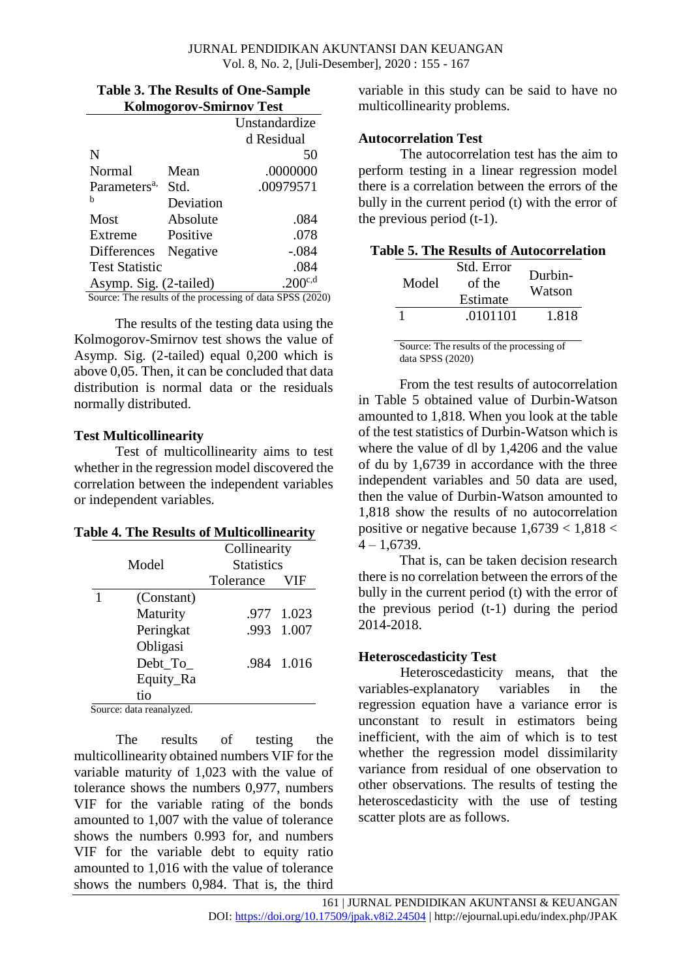|                          |           | Unstandardize |
|--------------------------|-----------|---------------|
|                          |           | d Residual    |
| N                        |           | 50            |
| Normal                   | Mean      | .0000000      |
| Parameters <sup>a,</sup> | Std.      | .00979571     |
| h                        | Deviation |               |
| Most                     | Absolute  | .084          |
| Extreme                  | Positive  | .078          |
| <b>Differences</b>       | Negative  | -.084         |
| <b>Test Statistic</b>    |           | .084          |
| Asymp. Sig. (2-tailed)   |           | $.200^{c,d}$  |

**Table 3. The Results of One-Sample** 

The results of the testing data using the Kolmogorov-Smirnov test shows the value of Asymp. Sig. (2-tailed) equal 0,200 which is above 0,05. Then, it can be concluded that data distribution is normal data or the residuals normally distributed.

### **Test Multicollinearity**

Test of multicollinearity aims to test whether in the regression model discovered the correlation between the independent variables or independent variables.

| <b>Table 4. The Results of Multicollinearity</b> |  |
|--------------------------------------------------|--|
|--------------------------------------------------|--|

|       |                          | Collinearity      |            |  |  |
|-------|--------------------------|-------------------|------------|--|--|
| Model |                          | <b>Statistics</b> |            |  |  |
|       |                          | Tolerance         | <b>VIF</b> |  |  |
|       | (Constant)               |                   |            |  |  |
|       | Maturity                 |                   | .977 1.023 |  |  |
|       | Peringkat                |                   | .993 1.007 |  |  |
|       | Obligasi                 |                   |            |  |  |
|       | Debt_To_                 |                   | .984 1.016 |  |  |
|       | Equity_Ra                |                   |            |  |  |
|       | tio                      |                   |            |  |  |
|       | Source: data reanalyzed. |                   |            |  |  |

The results of testing the multicollinearity obtained numbers VIF for the variable maturity of 1,023 with the value of tolerance shows the numbers 0,977, numbers VIF for the variable rating of the bonds amounted to 1,007 with the value of tolerance shows the numbers 0.993 for, and numbers VIF for the variable debt to equity ratio amounted to 1,016 with the value of tolerance shows the numbers 0,984. That is, the third

variable in this study can be said to have no multicollinearity problems.

#### **Autocorrelation Test**

The autocorrelation test has the aim to perform testing in a linear regression model there is a correlation between the errors of the bully in the current period (t) with the error of the previous period (t-1).

| <b>Table 5. The Results of Autocorrelation</b> |  |
|------------------------------------------------|--|
|------------------------------------------------|--|

| Model | Std. Error<br>of the<br>Estimate | Durbin-<br>Watson |
|-------|----------------------------------|-------------------|
|       | .0101101                         | 1.818             |

Source: The results of the processing of data SPSS (2020)

From the test results of autocorrelation in Table 5 obtained value of Durbin-Watson amounted to 1,818. When you look at the table of the test statistics of Durbin-Watson which is where the value of dl by 1,4206 and the value of du by 1,6739 in accordance with the three independent variables and 50 data are used, then the value of Durbin-Watson amounted to 1,818 show the results of no autocorrelation positive or negative because  $1,6739 < 1,818 <$  $4 - 1,6739.$ 

That is, can be taken decision research there is no correlation between the errors of the bully in the current period (t) with the error of the previous period (t-1) during the period 2014-2018.

# **Heteroscedasticity Test**

Heteroscedasticity means, that the variables-explanatory variables in the regression equation have a variance error is unconstant to result in estimators being inefficient, with the aim of which is to test whether the regression model dissimilarity variance from residual of one observation to other observations. The results of testing the heteroscedasticity with the use of testing scatter plots are as follows.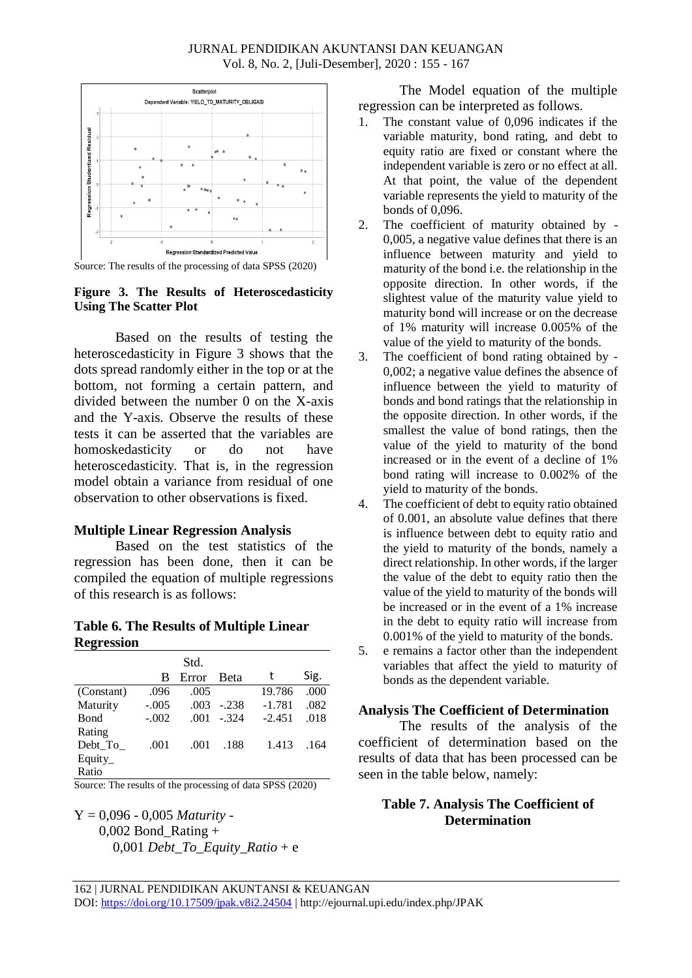#### JURNAL PENDIDIKAN AKUNTANSI DAN KEUANGAN Vol. 8, No. 2, [Juli-Desember], 2020 : 155 - 167



Source: The results of the processing of data SPSS (2020)

#### **Figure 3. The Results of Heteroscedasticity Using The Scatter Plot**

Based on the results of testing the heteroscedasticity in Figure 3 shows that the dots spread randomly either in the top or at the bottom, not forming a certain pattern, and divided between the number 0 on the X-axis and the Y-axis. Observe the results of these tests it can be asserted that the variables are homoskedasticity or do not have heteroscedasticity. That is, in the regression model obtain a variance from residual of one observation to other observations is fixed.

### **Multiple Linear Regression Analysis**

Based on the test statistics of the regression has been done, then it can be compiled the equation of multiple regressions of this research is as follows:

### **Table 6. The Results of Multiple Linear Regression**

|             |         | Std.  |             |          |      |
|-------------|---------|-------|-------------|----------|------|
|             | В       | Error | <b>Beta</b> | t        | Sig. |
| (Constant)  | .096    | .005  |             | 19.786   | .000 |
| Maturity    | $-.005$ | .003  | $-238$      | $-1.781$ | .082 |
| <b>Bond</b> | $-.002$ | .001  | $-324$      | $-2.451$ | .018 |
| Rating      |         |       |             |          |      |
| Debt_To_    | .001    | .001  | .188        | 1.413    | .164 |
| Equity_     |         |       |             |          |      |
| Ratio       |         |       |             |          |      |

Source: The results of the processing of data SPSS (2020)

Y = 0,096 - 0,005 *Maturity* - 0,002 Bond\_Rating + 0,001 *Debt\_To\_Equity\_Ratio* + e

The Model equation of the multiple regression can be interpreted as follows.

- 1. The constant value of 0,096 indicates if the variable maturity, bond rating, and debt to equity ratio are fixed or constant where the independent variable is zero or no effect at all. At that point, the value of the dependent variable represents the yield to maturity of the bonds of 0,096.
- 2. The coefficient of maturity obtained by 0,005, a negative value defines that there is an influence between maturity and yield to maturity of the bond i.e. the relationship in the opposite direction. In other words, if the slightest value of the maturity value yield to maturity bond will increase or on the decrease of 1% maturity will increase 0.005% of the value of the yield to maturity of the bonds.
- 3. The coefficient of bond rating obtained by 0,002; a negative value defines the absence of influence between the yield to maturity of bonds and bond ratings that the relationship in the opposite direction. In other words, if the smallest the value of bond ratings, then the value of the yield to maturity of the bond increased or in the event of a decline of 1% bond rating will increase to 0.002% of the yield to maturity of the bonds.
- 4. The coefficient of debt to equity ratio obtained of 0.001, an absolute value defines that there is influence between debt to equity ratio and the yield to maturity of the bonds, namely a direct relationship. In other words, if the larger the value of the debt to equity ratio then the value of the yield to maturity of the bonds will be increased or in the event of a 1% increase in the debt to equity ratio will increase from 0.001% of the yield to maturity of the bonds.
- 5. e remains a factor other than the independent variables that affect the yield to maturity of bonds as the dependent variable.

# **Analysis The Coefficient of Determination**

The results of the analysis of the coefficient of determination based on the results of data that has been processed can be seen in the table below, namely:

# **Table 7. Analysis The Coefficient of Determination**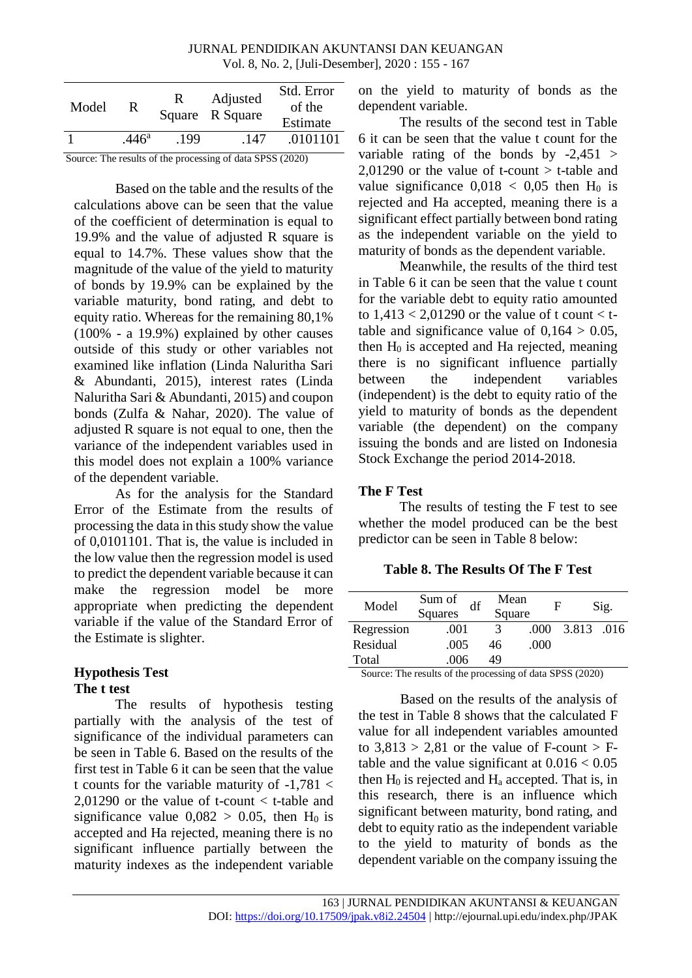#### JURNAL PENDIDIKAN AKUNTANSI DAN KEUANGAN Vol. 8, No. 2, [Juli-Desember], 2020 : 155 - 167

| Model                                                     | R.                | R    | Adjusted<br>Square R Square | Std. Error<br>of the<br>Estimate |
|-----------------------------------------------------------|-------------------|------|-----------------------------|----------------------------------|
|                                                           | .446 <sup>a</sup> | .199 | .147                        | .0101101                         |
| Source: The results of the processing of data SPSS (2020) |                   |      |                             |                                  |

Based on the table and the results of the calculations above can be seen that the value of the coefficient of determination is equal to 19.9% and the value of adjusted R square is equal to 14.7%. These values show that the magnitude of the value of the yield to maturity of bonds by 19.9% can be explained by the variable maturity, bond rating, and debt to equity ratio. Whereas for the remaining 80,1% (100% - a 19.9%) explained by other causes outside of this study or other variables not examined like inflation (Linda Naluritha Sari & Abundanti, 2015), interest rates (Linda Naluritha Sari & Abundanti, 2015) and coupon bonds (Zulfa & Nahar, 2020). The value of adjusted R square is not equal to one, then the variance of the independent variables used in this model does not explain a 100% variance of the dependent variable.

As for the analysis for the Standard Error of the Estimate from the results of processing the data in this study show the value of 0,0101101. That is, the value is included in the low value then the regression model is used to predict the dependent variable because it can make the regression model be more appropriate when predicting the dependent variable if the value of the Standard Error of the Estimate is slighter.

### **Hypothesis Test The t test**

The results of hypothesis testing partially with the analysis of the test of significance of the individual parameters can be seen in Table 6. Based on the results of the first test in Table 6 it can be seen that the value t counts for the variable maturity of  $-1.781 <$ 2,01290 or the value of t-count < t-table and significance value  $0,082 > 0.05$ , then H<sub>0</sub> is accepted and Ha rejected, meaning there is no significant influence partially between the maturity indexes as the independent variable

on the yield to maturity of bonds as the dependent variable.

The results of the second test in Table 6 it can be seen that the value t count for the variable rating of the bonds by  $-2,451$ 2,01290 or the value of t-count  $>$  t-table and value significance  $0.018 < 0.05$  then H<sub>0</sub> is rejected and Ha accepted, meaning there is a significant effect partially between bond rating as the independent variable on the yield to maturity of bonds as the dependent variable.

Meanwhile, the results of the third test in Table 6 it can be seen that the value t count for the variable debt to equity ratio amounted to  $1,413 < 2,01290$  or the value of t count  $\lt t$ table and significance value of  $0.164 > 0.05$ , then  $H_0$  is accepted and  $Ha$  rejected, meaning there is no significant influence partially between the independent variables (independent) is the debt to equity ratio of the yield to maturity of bonds as the dependent variable (the dependent) on the company issuing the bonds and are listed on Indonesia Stock Exchange the period 2014-2018.

# **The F Test**

The results of testing the F test to see whether the model produced can be the best predictor can be seen in Table 8 below:

# **Table 8. The Results Of The F Test**

| Model      | Sum of<br>df<br><b>Squares</b> | Mean<br>Square | F    |            | Sig. |
|------------|--------------------------------|----------------|------|------------|------|
| Regression | .001                           | 3              | .000 | 3.813 .016 |      |
| Residual   | .005                           | 46             | .000 |            |      |
| Total      | .006                           | 49             |      |            |      |

Source: The results of the processing of data SPSS (2020)

Based on the results of the analysis of the test in Table 8 shows that the calculated F value for all independent variables amounted to  $3.813 > 2.81$  or the value of F-count  $> F$ table and the value significant at  $0.016 < 0.05$ then  $H_0$  is rejected and  $H_a$  accepted. That is, in this research, there is an influence which significant between maturity, bond rating, and debt to equity ratio as the independent variable to the yield to maturity of bonds as the dependent variable on the company issuing the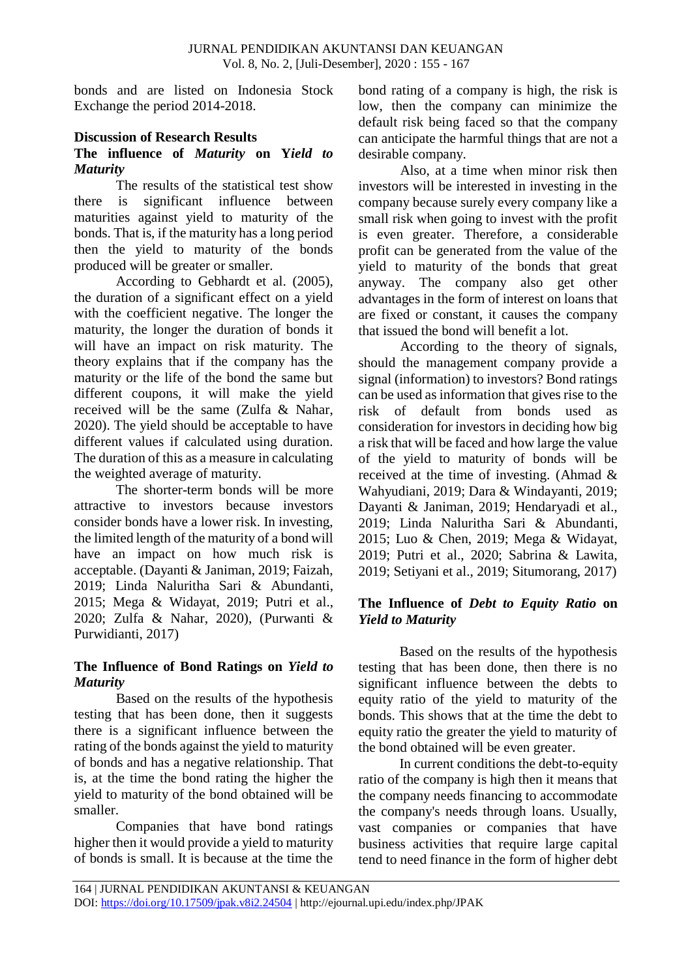bonds and are listed on Indonesia Stock Exchange the period 2014-2018.

# **Discussion of Research Results**

# **The influence of** *Maturity* **on Y***ield to Maturity*

The results of the statistical test show there is significant influence between maturities against yield to maturity of the bonds. That is, if the maturity has a long period then the yield to maturity of the bonds produced will be greater or smaller.

According to Gebhardt et al. (2005), the duration of a significant effect on a yield with the coefficient negative. The longer the maturity, the longer the duration of bonds it will have an impact on risk maturity. The theory explains that if the company has the maturity or the life of the bond the same but different coupons, it will make the yield received will be the same (Zulfa & Nahar, 2020). The yield should be acceptable to have different values if calculated using duration. The duration of this as a measure in calculating the weighted average of maturity.

The shorter-term bonds will be more attractive to investors because investors consider bonds have a lower risk. In investing, the limited length of the maturity of a bond will have an impact on how much risk is acceptable. (Dayanti & Janiman, 2019; Faizah, 2019; Linda Naluritha Sari & Abundanti, 2015; Mega & Widayat, 2019; Putri et al., 2020; Zulfa & Nahar, 2020), (Purwanti & Purwidianti, 2017)

## **The Influence of Bond Ratings on** *Yield to Maturity*

Based on the results of the hypothesis testing that has been done, then it suggests there is a significant influence between the rating of the bonds against the yield to maturity of bonds and has a negative relationship. That is, at the time the bond rating the higher the yield to maturity of the bond obtained will be smaller.

Companies that have bond ratings higher then it would provide a yield to maturity of bonds is small. It is because at the time the bond rating of a company is high, the risk is low, then the company can minimize the default risk being faced so that the company can anticipate the harmful things that are not a desirable company.

Also, at a time when minor risk then investors will be interested in investing in the company because surely every company like a small risk when going to invest with the profit is even greater. Therefore, a considerable profit can be generated from the value of the yield to maturity of the bonds that great anyway. The company also get other advantages in the form of interest on loans that are fixed or constant, it causes the company that issued the bond will benefit a lot.

According to the theory of signals, should the management company provide a signal (information) to investors? Bond ratings can be used as information that gives rise to the risk of default from bonds used as consideration for investors in deciding how big a risk that will be faced and how large the value of the yield to maturity of bonds will be received at the time of investing. (Ahmad & Wahyudiani, 2019; Dara & Windayanti, 2019; Dayanti & Janiman, 2019; Hendaryadi et al., 2019; Linda Naluritha Sari & Abundanti, 2015; Luo & Chen, 2019; Mega & Widayat, 2019; Putri et al., 2020; Sabrina & Lawita, 2019; Setiyani et al., 2019; Situmorang, 2017)

# **The Influence of** *Debt to Equity Ratio* **on** *Yield to Maturity*

Based on the results of the hypothesis testing that has been done, then there is no significant influence between the debts to equity ratio of the yield to maturity of the bonds. This shows that at the time the debt to equity ratio the greater the yield to maturity of the bond obtained will be even greater.

In current conditions the debt-to-equity ratio of the company is high then it means that the company needs financing to accommodate the company's needs through loans. Usually, vast companies or companies that have business activities that require large capital tend to need finance in the form of higher debt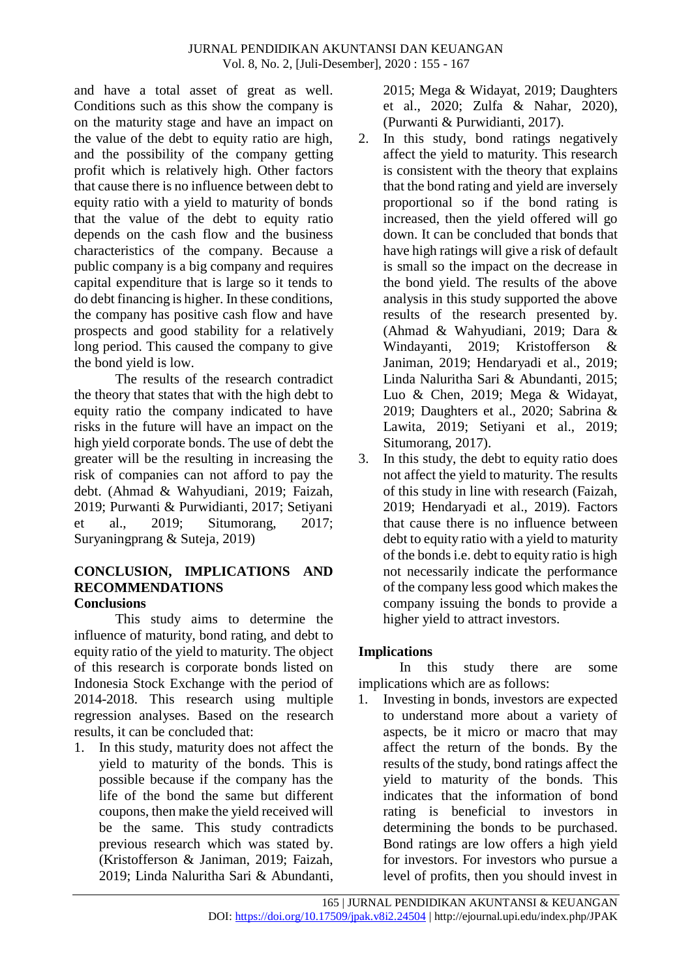and have a total asset of great as well. Conditions such as this show the company is on the maturity stage and have an impact on the value of the debt to equity ratio are high, and the possibility of the company getting profit which is relatively high. Other factors that cause there is no influence between debt to equity ratio with a yield to maturity of bonds that the value of the debt to equity ratio depends on the cash flow and the business characteristics of the company. Because a public company is a big company and requires capital expenditure that is large so it tends to do debt financing is higher. In these conditions, the company has positive cash flow and have prospects and good stability for a relatively long period. This caused the company to give the bond yield is low.

The results of the research contradict the theory that states that with the high debt to equity ratio the company indicated to have risks in the future will have an impact on the high yield corporate bonds. The use of debt the greater will be the resulting in increasing the risk of companies can not afford to pay the debt. (Ahmad & Wahyudiani, 2019; Faizah, 2019; Purwanti & Purwidianti, 2017; Setiyani et al., 2019; Situmorang, 2017; Suryaningprang & Suteja, 2019)

#### **CONCLUSION, IMPLICATIONS AND RECOMMENDATIONS Conclusions**

This study aims to determine the influence of maturity, bond rating, and debt to equity ratio of the yield to maturity. The object of this research is corporate bonds listed on Indonesia Stock Exchange with the period of 2014-2018. This research using multiple regression analyses. Based on the research results, it can be concluded that:

1. In this study, maturity does not affect the yield to maturity of the bonds. This is possible because if the company has the life of the bond the same but different coupons, then make the yield received will be the same. This study contradicts previous research which was stated by. (Kristofferson & Janiman, 2019; Faizah, 2019; Linda Naluritha Sari & Abundanti,

2015; Mega & Widayat, 2019; Daughters et al., 2020; Zulfa & Nahar, 2020), (Purwanti & Purwidianti, 2017).

- 2. In this study, bond ratings negatively affect the yield to maturity. This research is consistent with the theory that explains that the bond rating and yield are inversely proportional so if the bond rating is increased, then the yield offered will go down. It can be concluded that bonds that have high ratings will give a risk of default is small so the impact on the decrease in the bond yield. The results of the above analysis in this study supported the above results of the research presented by. (Ahmad & Wahyudiani, 2019; Dara & Windayanti, 2019; Kristofferson & Janiman, 2019; Hendaryadi et al., 2019; Linda Naluritha Sari & Abundanti, 2015; Luo & Chen, 2019; Mega & Widayat, 2019; Daughters et al., 2020; Sabrina & Lawita, 2019; Setiyani et al., 2019; Situmorang, 2017).
- 3. In this study, the debt to equity ratio does not affect the yield to maturity. The results of this study in line with research (Faizah, 2019; Hendaryadi et al., 2019). Factors that cause there is no influence between debt to equity ratio with a yield to maturity of the bonds i.e. debt to equity ratio is high not necessarily indicate the performance of the company less good which makes the company issuing the bonds to provide a higher yield to attract investors.

# **Implications**

In this study there are some implications which are as follows:

1. Investing in bonds, investors are expected to understand more about a variety of aspects, be it micro or macro that may affect the return of the bonds. By the results of the study, bond ratings affect the yield to maturity of the bonds. This indicates that the information of bond rating is beneficial to investors in determining the bonds to be purchased. Bond ratings are low offers a high yield for investors. For investors who pursue a level of profits, then you should invest in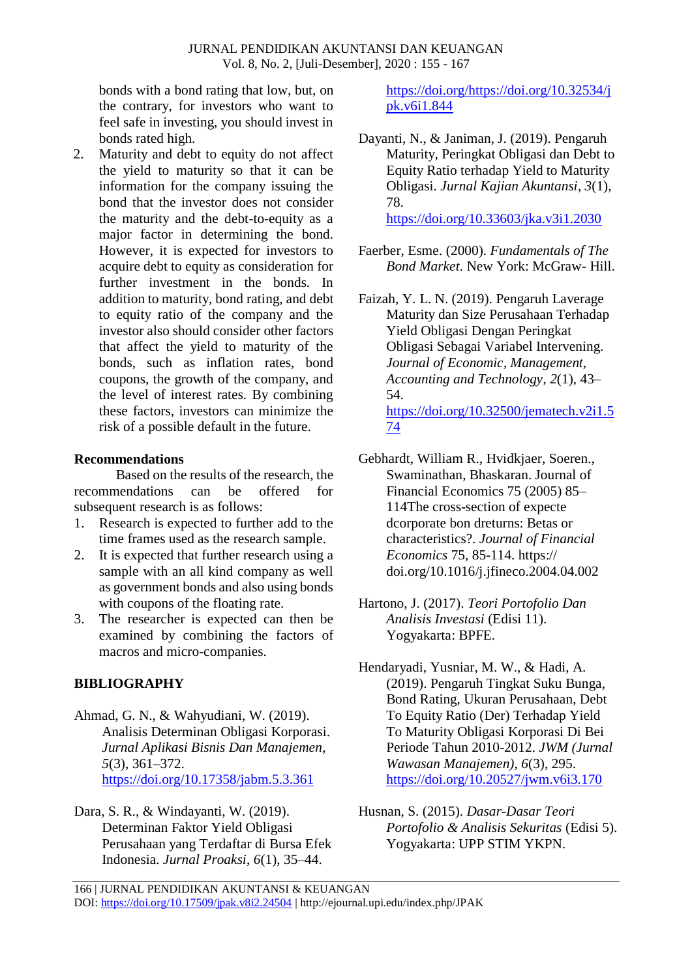bonds with a bond rating that low, but, on the contrary, for investors who want to feel safe in investing, you should invest in bonds rated high.

2. Maturity and debt to equity do not affect the yield to maturity so that it can be information for the company issuing the bond that the investor does not consider the maturity and the debt-to-equity as a major factor in determining the bond. However, it is expected for investors to acquire debt to equity as consideration for further investment in the bonds. In addition to maturity, bond rating, and debt to equity ratio of the company and the investor also should consider other factors that affect the yield to maturity of the bonds, such as inflation rates, bond coupons, the growth of the company, and the level of interest rates. By combining these factors, investors can minimize the risk of a possible default in the future.

## **Recommendations**

Based on the results of the research, the recommendations can be offered for subsequent research is as follows:

- 1. Research is expected to further add to the time frames used as the research sample.
- 2. It is expected that further research using a sample with an all kind company as well as government bonds and also using bonds with coupons of the floating rate.
- 3. The researcher is expected can then be examined by combining the factors of macros and micro-companies.

# **BIBLIOGRAPHY**

- Ahmad, G. N., & Wahyudiani, W. (2019). Analisis Determinan Obligasi Korporasi. *Jurnal Aplikasi Bisnis Dan Manajemen*, *5*(3), 361–372. <https://doi.org/10.17358/jabm.5.3.361>
- Dara, S. R., & Windayanti, W. (2019). Determinan Faktor Yield Obligasi Perusahaan yang Terdaftar di Bursa Efek Indonesia. *Jurnal Proaksi*, *6*(1), 35–44.

[https://doi.org/https://doi.org/10.32534/j](https://doi.org/https:/doi.org/10.32534/jpk.v6i1.844) [pk.v6i1.844](https://doi.org/https:/doi.org/10.32534/jpk.v6i1.844)

- Dayanti, N., & Janiman, J. (2019). Pengaruh Maturity, Peringkat Obligasi dan Debt to Equity Ratio terhadap Yield to Maturity Obligasi. *Jurnal Kajian Akuntansi*, *3*(1), 78. <https://doi.org/10.33603/jka.v3i1.2030>
- Faerber, Esme. (2000). *Fundamentals of The Bond Market*. New York: McGraw- Hill.
- Faizah, Y. L. N. (2019). Pengaruh Laverage Maturity dan Size Perusahaan Terhadap Yield Obligasi Dengan Peringkat Obligasi Sebagai Variabel Intervening. *Journal of Economic, Management, Accounting and Technology*, *2*(1), 43– 54. [https://doi.org/10.32500/jematech.v2i1.5](https://doi.org/10.32500/jematech.v2i1.574) [74](https://doi.org/10.32500/jematech.v2i1.574)
- Gebhardt, William R., Hvidkjaer, Soeren., Swaminathan, Bhaskaran. Journal of Financial Economics 75 (2005) 85– 114The cross-section of expecte dcorporate bon dreturns: Betas or characteristics?. *Journal of Financial Economics* 75, 85-114. https:// doi.org/10.1016/j.jfineco.2004.04.002
- Hartono, J. (2017). *Teori Portofolio Dan Analisis Investasi* (Edisi 11). Yogyakarta: BPFE.
- Hendaryadi, Yusniar, M. W., & Hadi, A. (2019). Pengaruh Tingkat Suku Bunga, Bond Rating, Ukuran Perusahaan, Debt To Equity Ratio (Der) Terhadap Yield To Maturity Obligasi Korporasi Di Bei Periode Tahun 2010-2012. *JWM (Jurnal Wawasan Manajemen)*, *6*(3), 295. <https://doi.org/10.20527/jwm.v6i3.170>
- Husnan, S. (2015). *Dasar-Dasar Teori Portofolio & Analisis Sekuritas* (Edisi 5). Yogyakarta: UPP STIM YKPN.